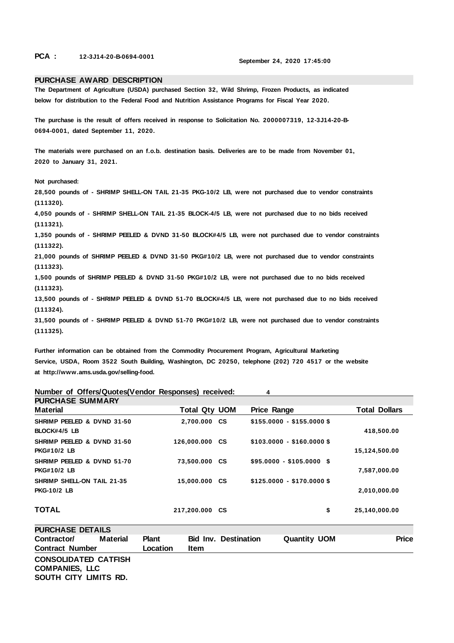**PCA : 12-3J14-20-B-0694-0001 September 24, 2020 17:45:00** 

## **PURCHASE AWARD DESCRIPTION**

**The Department of Agriculture (USDA) purchased Section 32, Wild Shrimp, Frozen Products, as indicated below for distribution to the Federal Food and Nutrition Assistance Programs for Fiscal Year 2020.** 

**The purchase is the result of offers received in response to Solicitation No. 2000007319, 12-3J14-20-B-0694-0001, dated September 11, 2020.** 

**The materials were purchased on an f.o.b. destination basis. Deliveries are to be made from November 01, 2020 to January 31, 2021.** 

**Not purchased:** 

**28,500 pounds of - SHRIMP SHELL-ON TAIL 21-35 PKG-10/2 LB, were not purchased due to vendor constraints (111320).** 

**4,050 pounds of - SHRIMP SHELL-ON TAIL 21-35 BLOCK-4/5 LB, were not purchased due to no bids received (111321).** 

**1,350 pounds of - SHRIMP PEELED & DVND 31-50 BLOCK#4/5 LB, were not purchased due to vendor constraints (111322).** 

**21,000 pounds of SHRIMP PEELED & DVND 31-50 PKG#10/2 LB, were not purchased due to vendor constraints (111323).** 

**1,500 pounds of SHRIMP PEELED & DVND 31-50 PKG#10/2 LB, were not purchased due to no bids received (111323).** 

**13,500 pounds of - SHRIMP PEELED & DVND 51-70 BLOCK#4/5 LB, were not purchased due to no bids received (111324).** 

**31,500 pounds of - SHRIMP PEELED & DVND 51-70 PKG#10/2 LB, were not purchased due to vendor constraints (111325).** 

**Further information can be obtained from the Commodity Procurement Program, Agricultural Marketing Service, USDA, Room 3522 South Building, Washington, DC 20250, telephone (202) 720 4517 or the website at http://www.ams.usda.gov/selling-food.** 

**Number of Offers/Quotes(Vendor Responses) received: 4** 

| <b>PURCHASE SUMMARY</b>                                 |                      |                            |                      |
|---------------------------------------------------------|----------------------|----------------------------|----------------------|
| <b>Material</b>                                         | <b>Total Qty UOM</b> | <b>Price Range</b>         | <b>Total Dollars</b> |
| SHRIMP PEELED & DVND 31-50<br>BLOCK#4/5 LB              | 2,700.000 CS         | $$155.0000 - $155.0000$ \$ | 418,500.00           |
| SHRIMP PEELED & DVND 31-50<br><b>PKG#10/2 LB</b>        | 126,000.000 CS       | $$103.0000 - $160.0000$ \$ | 15,124,500.00        |
| SHRIMP PEELED & DVND 51-70<br><b>PKG#10/2 LB</b>        | 73,500.000 CS        | $$95.0000 - $105.0000$ \$  | 7,587,000.00         |
| <b>SHRIMP SHELL-ON TAIL 21-35</b><br><b>PKG-10/2 LB</b> | 15,000.000 CS        | $$125.0000 - $170.0000$ \$ | 2,010,000.00         |
| <b>TOTAL</b>                                            | 217,200.000 CS       | \$                         | 25,140,000.00        |

| <b>PURCHASE DETAILS</b>     |                 |              |      |                             |                     |              |
|-----------------------------|-----------------|--------------|------|-----------------------------|---------------------|--------------|
| Contractor/                 | <b>Material</b> | <b>Plant</b> |      | <b>Bid Inv. Destination</b> | <b>Quantity UOM</b> | <b>Price</b> |
| <b>Contract Number</b>      |                 | Location     | Item |                             |                     |              |
| <b>CONSOLIDATED CATFISH</b> |                 |              |      |                             |                     |              |
| <b>COMPANIES, LLC</b>       |                 |              |      |                             |                     |              |
| SOUTH CITY LIMITS RD.       |                 |              |      |                             |                     |              |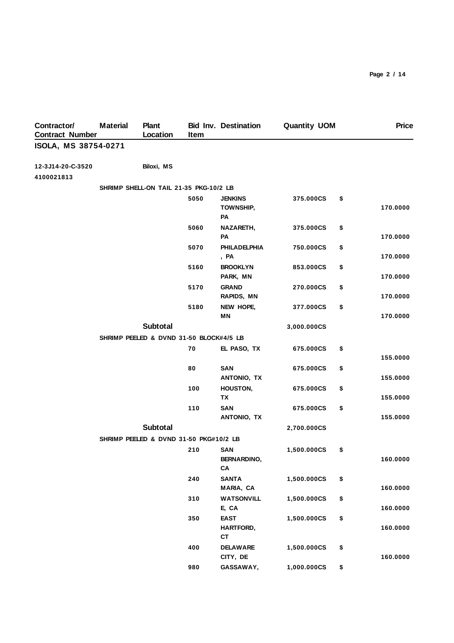| Contractor/<br><b>Contract Number</b> | <b>Material</b> | <b>Plant</b><br>Location                | Item | <b>Bid Inv. Destination</b>                    | <b>Quantity UOM</b> | <b>Price</b>   |
|---------------------------------------|-----------------|-----------------------------------------|------|------------------------------------------------|---------------------|----------------|
| ISOLA, MS 38754-0271                  |                 |                                         |      |                                                |                     |                |
| 12-3J14-20-C-3520<br>4100021813       |                 | Biloxi, MS                              |      |                                                |                     |                |
|                                       |                 | SHRIMP SHELL-ON TAIL 21-35 PKG-10/2 LB  |      |                                                |                     |                |
|                                       |                 |                                         | 5050 | <b>JENKINS</b><br><b>TOWNSHIP,</b><br>PA       | 375.000CS           | \$<br>170.0000 |
|                                       |                 |                                         | 5060 | NAZARETH,<br>PA                                | 375.000CS           | \$<br>170.0000 |
|                                       |                 |                                         | 5070 | <b>PHILADELPHIA</b><br>, PA                    | 750.000CS           | \$<br>170.0000 |
|                                       |                 |                                         | 5160 | <b>BROOKLYN</b><br>PARK, MN                    | 853.000CS           | \$<br>170.0000 |
|                                       |                 |                                         | 5170 | <b>GRAND</b><br><b>RAPIDS, MN</b>              | 270.000CS           | \$<br>170.0000 |
|                                       |                 |                                         | 5180 | NEW HOPE,<br><b>MN</b>                         | 377.000CS           | \$<br>170.0000 |
|                                       |                 | <b>Subtotal</b>                         |      |                                                | 3,000.000CS         |                |
|                                       |                 | SHRIMP PEELED & DVND 31-50 BLOCK#4/5 LB |      |                                                |                     |                |
|                                       |                 |                                         | 70   | EL PASO, TX                                    | 675.000CS           | \$<br>155.0000 |
|                                       |                 |                                         | 80   | <b>SAN</b><br>ANTONIO, TX                      | 675.000CS           | \$<br>155.0000 |
|                                       |                 |                                         | 100  | HOUSTON,<br><b>TX</b>                          | 675.000CS           | \$<br>155.0000 |
|                                       |                 |                                         | 110  | <b>SAN</b><br>ANTONIO, TX                      | 675.000CS           | \$<br>155.0000 |
|                                       |                 | <b>Subtotal</b>                         |      |                                                | 2,700.000CS         |                |
|                                       |                 | SHRIMP PEELED & DVND 31-50 PKG#10/2 LB  |      |                                                |                     |                |
|                                       |                 |                                         | 210  | <b>SAN</b><br><b>BERNARDINO,</b><br>${\sf CA}$ | 1,500.000CS         | \$<br>160.0000 |
|                                       |                 |                                         | 240  | <b>SANTA</b><br>MARIA, CA                      | 1,500.000CS         | \$<br>160.0000 |
|                                       |                 |                                         | 310  | <b>WATSONVILL</b><br>E, CA                     | 1,500.000CS         | \$<br>160.0000 |
|                                       |                 |                                         | 350  | <b>EAST</b><br>HARTFORD,<br><b>CT</b>          | 1,500.000CS         | \$<br>160.0000 |
|                                       |                 |                                         | 400  | <b>DELAWARE</b><br>CITY, DE                    | 1,500.000CS         | \$<br>160.0000 |
|                                       |                 |                                         | 980  | GASSAWAY,                                      | 1,000.000CS         | \$             |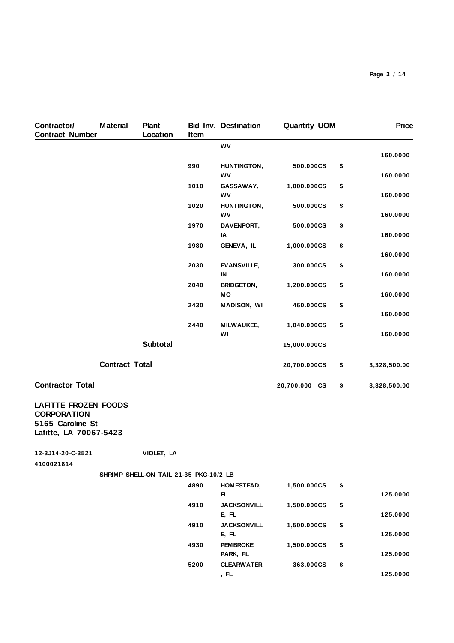| Contractor/<br><b>Contract Number</b>                                                           | <b>Material</b>       | <b>Plant</b><br>Location               | Item | <b>Bid Inv. Destination</b> | <b>Quantity UOM</b> | <b>Price</b>       |
|-------------------------------------------------------------------------------------------------|-----------------------|----------------------------------------|------|-----------------------------|---------------------|--------------------|
|                                                                                                 |                       |                                        |      | WV                          |                     | 160.0000           |
|                                                                                                 |                       |                                        | 990  | HUNTINGTON,<br>WV           | 500.000CS           | \$<br>160.0000     |
|                                                                                                 |                       |                                        | 1010 | GASSAWAY,<br>WV             | 1,000.000CS         | \$<br>160.0000     |
|                                                                                                 |                       |                                        | 1020 | HUNTINGTON,<br>WV           | 500.000CS           | \$<br>160.0000     |
|                                                                                                 |                       |                                        | 1970 | DAVENPORT,<br>IA            | 500.000CS           | \$<br>160.0000     |
|                                                                                                 |                       |                                        | 1980 | GENEVA, IL                  | 1,000.000CS         | \$<br>160.0000     |
|                                                                                                 |                       |                                        | 2030 | <b>EVANSVILLE,</b><br>IN    | 300.000CS           | \$<br>160.0000     |
|                                                                                                 |                       |                                        | 2040 | <b>BRIDGETON,</b><br>MO     | 1,200.000CS         | \$<br>160.0000     |
|                                                                                                 |                       |                                        | 2430 | <b>MADISON, WI</b>          | 460.000CS           | \$<br>160.0000     |
|                                                                                                 |                       |                                        | 2440 | <b>MILWAUKEE,</b><br>WI     | 1,040.000CS         | \$<br>160.0000     |
|                                                                                                 |                       | <b>Subtotal</b>                        |      |                             | 15,000.000CS        |                    |
|                                                                                                 | <b>Contract Total</b> |                                        |      |                             | 20,700.000CS        | \$<br>3,328,500.00 |
| <b>Contractor Total</b>                                                                         |                       |                                        |      |                             | 20,700.000 CS       | \$<br>3,328,500.00 |
| <b>LAFITTE FROZEN FOODS</b><br><b>CORPORATION</b><br>5165 Caroline St<br>Lafitte, LA 70067-5423 |                       |                                        |      |                             |                     |                    |
| 12-3J14-20-C-3521<br>4100021814                                                                 |                       | VIOLET, LA                             |      |                             |                     |                    |
|                                                                                                 |                       | SHRIMP SHELL-ON TAIL 21-35 PKG-10/2 LB |      |                             |                     |                    |
|                                                                                                 |                       |                                        | 4890 | HOMESTEAD,<br>FL.           | 1,500.000CS         | \$<br>125.0000     |
|                                                                                                 |                       |                                        | 4910 | <b>JACKSONVILL</b><br>E, FL | 1,500.000CS         | \$<br>125.0000     |
|                                                                                                 |                       |                                        | 4910 | <b>JACKSONVILL</b><br>E, FL | 1,500.000CS         | \$<br>125.0000     |
|                                                                                                 |                       |                                        | 4930 | <b>PEMBROKE</b><br>PARK, FL | 1,500.000CS         | \$<br>125.0000     |
|                                                                                                 |                       |                                        | 5200 | <b>CLEARWATER</b><br>, FL   | 363.000CS           | \$<br>125.0000     |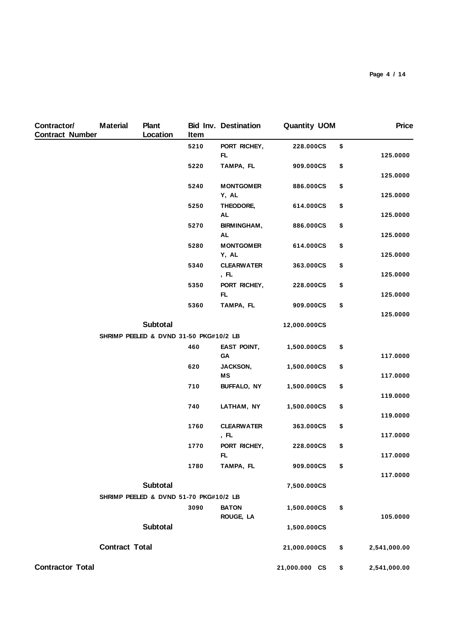| Contractor/<br><b>Contract Number</b> | <b>Material</b>       | <b>Plant</b><br>Location               | Item | <b>Bid Inv. Destination</b> | <b>Quantity UOM</b> | <b>Price</b>       |
|---------------------------------------|-----------------------|----------------------------------------|------|-----------------------------|---------------------|--------------------|
|                                       |                       |                                        | 5210 | PORT RICHEY,<br>FL          | 228.000CS           | \$<br>125.0000     |
|                                       |                       |                                        | 5220 | TAMPA, FL                   | 909.000CS           | \$<br>125.0000     |
|                                       |                       |                                        | 5240 | <b>MONTGOMER</b><br>Y, AL   | 886.000CS           | \$<br>125.0000     |
|                                       |                       |                                        | 5250 | THEODORE,<br><b>AL</b>      | 614.000CS           | \$<br>125.0000     |
|                                       |                       |                                        | 5270 | BIRMINGHAM,<br><b>AL</b>    | 886.000CS           | \$<br>125.0000     |
|                                       |                       |                                        | 5280 | <b>MONTGOMER</b><br>Y, AL   | 614.000CS           | \$<br>125.0000     |
|                                       |                       |                                        | 5340 | <b>CLEARWATER</b><br>, FL   | 363.000CS           | \$<br>125.0000     |
|                                       |                       |                                        | 5350 | PORT RICHEY,<br>FL.         | 228.000CS           | \$<br>125.0000     |
|                                       |                       |                                        | 5360 | TAMPA, FL                   | 909.000CS           | \$<br>125.0000     |
|                                       |                       | <b>Subtotal</b>                        |      |                             | 12,000.000CS        |                    |
|                                       |                       | SHRIMP PEELED & DVND 31-50 PKG#10/2 LB |      |                             |                     |                    |
|                                       |                       |                                        | 460  | <b>EAST POINT,</b><br>GА    | 1,500.000CS         | \$<br>117.0000     |
|                                       |                       |                                        | 620  | JACKSON,<br>MS              | 1,500.000CS         | \$<br>117.0000     |
|                                       |                       |                                        | 710  | <b>BUFFALO, NY</b>          | 1,500.000CS         | \$<br>119.0000     |
|                                       |                       |                                        | 740  | LATHAM, NY                  | 1,500.000CS         | \$<br>119.0000     |
|                                       |                       |                                        | 1760 | <b>CLEARWATER</b><br>, FL   | 363.000CS           | \$<br>117.0000     |
|                                       |                       |                                        | 1770 | PORT RICHEY,<br>FL          | 228.000CS           | \$<br>117.0000     |
|                                       |                       |                                        | 1780 | TAMPA, FL                   | 909.000CS           | \$<br>117.0000     |
|                                       |                       | Subtotal                               |      |                             | 7,500.000CS         |                    |
|                                       |                       | SHRIMP PEELED & DVND 51-70 PKG#10/2 LB |      |                             |                     |                    |
|                                       |                       |                                        | 3090 | <b>BATON</b><br>ROUGE, LA   | 1,500.000CS         | \$<br>105.0000     |
|                                       |                       | Subtotal                               |      |                             | 1,500.000CS         |                    |
|                                       | <b>Contract Total</b> |                                        |      |                             | 21,000.000CS        | \$<br>2,541,000.00 |
| <b>Contractor Total</b>               |                       |                                        |      |                             | 21,000.000 CS       | \$<br>2,541,000.00 |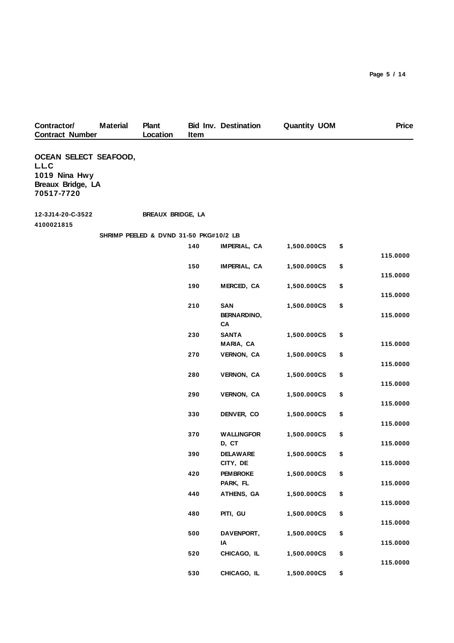| Contractor/                                                                               | <b>Material</b> | <b>Plant</b>                           |      | <b>Bid Inv. Destination</b> | <b>Quantity UOM</b> | <b>Price</b>   |
|-------------------------------------------------------------------------------------------|-----------------|----------------------------------------|------|-----------------------------|---------------------|----------------|
| <b>Contract Number</b>                                                                    |                 | Location                               | Item |                             |                     |                |
| <b>OCEAN SELECT SEAFOOD,</b><br>L.L.C<br>1019 Nina Hwy<br>Breaux Bridge, LA<br>70517-7720 |                 |                                        |      |                             |                     |                |
| 12-3J14-20-C-3522                                                                         |                 | BREAUX BRIDGE, LA                      |      |                             |                     |                |
| 4100021815                                                                                |                 | SHRIMP PEELED & DVND 31-50 PKG#10/2 LB |      |                             |                     |                |
|                                                                                           |                 |                                        | 140  | IMPERIAL, CA                | 1,500.000CS         | \$             |
|                                                                                           |                 |                                        |      |                             |                     | 115.0000       |
|                                                                                           |                 |                                        | 150  | IMPERIAL, CA                | 1,500.000CS         | \$             |
|                                                                                           |                 |                                        |      |                             |                     | 115.0000       |
|                                                                                           |                 |                                        | 190  | MERCED, CA                  | 1,500.000CS         | \$<br>115.0000 |
|                                                                                           |                 |                                        | 210  | SAN                         | 1,500.000CS         | \$             |
|                                                                                           |                 |                                        |      | <b>BERNARDINO,</b><br>CA    |                     | 115.0000       |
|                                                                                           |                 |                                        | 230  | <b>SANTA</b>                | 1,500.000CS         | \$             |
|                                                                                           |                 |                                        |      | MARIA, CA                   |                     | 115.0000       |
|                                                                                           |                 |                                        | 270  | VERNON, CA                  | 1,500.000CS         | \$<br>115.0000 |
|                                                                                           |                 |                                        | 280  | VERNON, CA                  | 1,500.000CS         | \$             |
|                                                                                           |                 |                                        |      |                             |                     | 115.0000       |
|                                                                                           |                 |                                        | 290  | <b>VERNON, CA</b>           | 1,500.000CS         | \$             |
|                                                                                           |                 |                                        | 330  | DENVER, CO                  | 1,500.000CS         | \$<br>115.0000 |
|                                                                                           |                 |                                        |      |                             |                     | 115.0000       |
|                                                                                           |                 |                                        | 370  | <b>WALLINGFOR</b>           | 1,500.000CS         | \$             |
|                                                                                           |                 |                                        |      | D, CT                       |                     | 115.0000       |
|                                                                                           |                 |                                        | 390  | <b>DELAWARE</b><br>CITY, DE | 1,500.000CS         | \$<br>115.0000 |
|                                                                                           |                 |                                        | 420  | <b>PEMBROKE</b>             | 1,500.000CS         | \$             |
|                                                                                           |                 |                                        |      | PARK, FL                    |                     | 115.0000       |
|                                                                                           |                 |                                        | 440  | ATHENS, GA                  | 1,500.000CS         | \$             |
|                                                                                           |                 |                                        | 480  | PITI, GU                    | 1,500.000CS         | \$<br>115.0000 |
|                                                                                           |                 |                                        |      |                             |                     | 115.0000       |
|                                                                                           |                 |                                        | 500  | DAVENPORT,                  | 1,500.000CS         | \$             |
|                                                                                           |                 |                                        |      | IA                          |                     | 115.0000       |
|                                                                                           |                 |                                        | 520  | CHICAGO, IL                 | 1,500.000CS         | \$<br>115.0000 |
|                                                                                           |                 |                                        | 530  | CHICAGO, IL                 | 1,500.000CS         | \$             |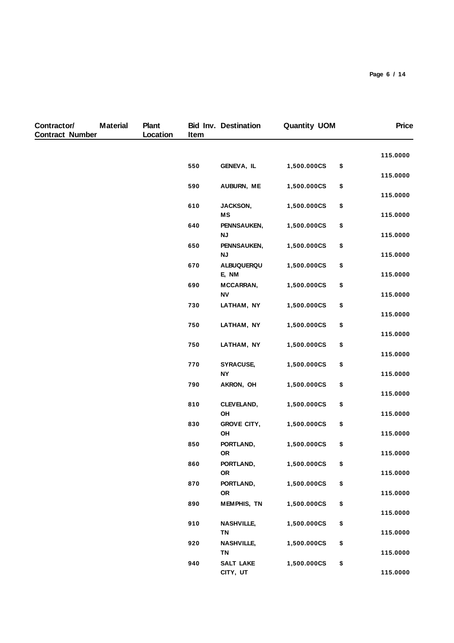| Contractor/<br><b>Contract Number</b> | <b>Material</b> | <b>Plant</b><br>Location | Item | <b>Bid Inv. Destination</b>    | <b>Quantity UOM</b> | <b>Price</b>   |
|---------------------------------------|-----------------|--------------------------|------|--------------------------------|---------------------|----------------|
|                                       |                 |                          |      |                                |                     | 115.0000       |
|                                       |                 |                          | 550  | GENEVA, IL                     | 1,500.000CS         | \$<br>115.0000 |
|                                       |                 |                          | 590  | AUBURN, ME                     | 1,500.000CS         | \$             |
|                                       |                 |                          | 610  | JACKSON,                       | 1,500.000CS         | \$<br>115.0000 |
|                                       |                 |                          |      | MS                             |                     | 115.0000       |
|                                       |                 |                          | 640  | PENNSAUKEN,<br><b>NJ</b>       | 1,500.000CS         | \$<br>115.0000 |
|                                       |                 |                          | 650  | PENNSAUKEN,                    | 1,500.000CS         | \$             |
|                                       |                 |                          |      | <b>NJ</b>                      |                     | 115.0000       |
|                                       |                 |                          | 670  | <b>ALBUQUERQU</b><br>E, NM     | 1,500.000CS         | \$<br>115.0000 |
|                                       |                 |                          | 690  | MCCARRAN,                      | 1,500.000CS         | \$             |
|                                       |                 |                          | 730  | <b>NV</b><br>LATHAM, NY        | 1,500.000CS         | \$<br>115.0000 |
|                                       |                 |                          |      |                                |                     | 115.0000       |
|                                       |                 |                          | 750  | LATHAM, NY                     | 1,500.000CS         | \$             |
|                                       |                 |                          | 750  | LATHAM, NY                     | 1,500.000CS         | \$<br>115.0000 |
|                                       |                 |                          |      |                                |                     | 115.0000       |
|                                       |                 |                          | 770  | SYRACUSE,                      | 1,500.000CS         | \$             |
|                                       |                 |                          |      | <b>NY</b>                      |                     | 115.0000       |
|                                       |                 |                          | 790  | AKRON, OH                      | 1,500.000CS         | \$<br>115.0000 |
|                                       |                 |                          | 810  | CLEVELAND,                     | 1,500.000CS         | \$             |
|                                       |                 |                          |      | OH                             |                     | 115.0000       |
|                                       |                 |                          | 830  | <b>GROVE CITY,</b><br>OH       | 1,500.000CS         | \$<br>115.0000 |
|                                       |                 |                          | 850  | PORTLAND,                      | 1,500.000CS         | \$             |
|                                       |                 |                          |      | OR                             |                     | 115.0000       |
|                                       |                 |                          | 860  | PORTLAND,                      | 1,500.000CS         | \$<br>115.0000 |
|                                       |                 |                          | 870  | OR<br>PORTLAND,                | 1,500.000CS         | \$             |
|                                       |                 |                          |      | OR                             |                     | 115.0000       |
|                                       |                 |                          | 890  | <b>MEMPHIS, TN</b>             | 1,500.000CS         | \$             |
|                                       |                 |                          |      |                                |                     | 115.0000       |
|                                       |                 |                          | 910  | <b>NASHVILLE,</b><br><b>TN</b> | 1,500.000CS         | \$<br>115.0000 |
|                                       |                 |                          | 920  | <b>NASHVILLE,</b>              | 1,500.000CS         | \$             |
|                                       |                 |                          |      | <b>TN</b>                      |                     | 115.0000       |
|                                       |                 |                          | 940  | <b>SALT LAKE</b><br>CITY, UT   | 1,500.000CS         | \$<br>115.0000 |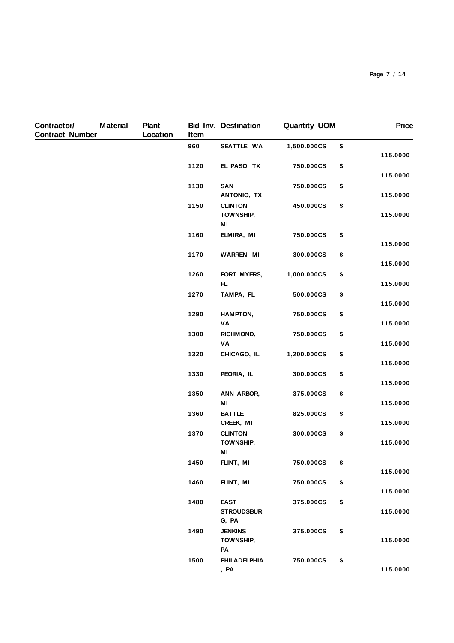| Contractor/<br><b>Contract Number</b> | <b>Material</b> | <b>Plant</b><br>Location | Item | <b>Bid Inv. Destination</b>               | <b>Quantity UOM</b> | <b>Price</b>               |
|---------------------------------------|-----------------|--------------------------|------|-------------------------------------------|---------------------|----------------------------|
|                                       |                 |                          | 960  | SEATTLE, WA                               | 1,500.000CS         | \$<br>115.0000             |
|                                       |                 |                          | 1120 | EL PASO, TX                               | 750.000CS           | \$                         |
|                                       |                 |                          | 1130 | SAN<br>ANTONIO, TX                        | 750.000CS           | \$<br>115.0000<br>115.0000 |
|                                       |                 |                          | 1150 | <b>CLINTON</b><br><b>TOWNSHIP,</b><br>MI  | 450.000CS           | \$<br>115.0000             |
|                                       |                 |                          | 1160 | ELMIRA, MI                                | 750.000CS           | \$<br>115.0000             |
|                                       |                 |                          | 1170 | <b>WARREN, MI</b>                         | 300.000CS           | \$<br>115.0000             |
|                                       |                 |                          | 1260 | FORT MYERS,<br>FL.                        | 1,000.000CS         | \$<br>115.0000             |
|                                       |                 |                          | 1270 | TAMPA, FL                                 | 500.000CS           | \$<br>115.0000             |
|                                       |                 |                          | 1290 | HAMPTON,<br>VA                            | 750.000CS           | \$<br>115.0000             |
|                                       |                 |                          | 1300 | <b>RICHMOND,</b><br>VA                    | 750.000CS           | \$<br>115.0000             |
|                                       |                 |                          | 1320 | CHICAGO, IL                               | 1,200.000CS         | \$<br>115.0000             |
|                                       |                 |                          | 1330 | PEORIA, IL                                | 300.000CS           | \$<br>115.0000             |
|                                       |                 |                          | 1350 | ANN ARBOR,<br>MI                          | 375.000CS           | \$<br>115.0000             |
|                                       |                 |                          | 1360 | <b>BATTLE</b><br>CREEK, MI                | 825.000CS           | \$<br>115.0000             |
|                                       |                 |                          | 1370 | <b>CLINTON</b><br>TOWNSHIP,<br>MI         | 300.000CS           | \$<br>115.0000             |
|                                       |                 |                          | 1450 | FLINT, MI                                 | 750.000CS           | \$<br>115.0000             |
|                                       |                 |                          | 1460 | FLINT, MI                                 | 750.000CS           | \$<br>115.0000             |
|                                       |                 |                          | 1480 | <b>EAST</b><br><b>STROUDSBUR</b><br>G, PA | 375.000CS           | \$<br>115.0000             |
|                                       |                 |                          | 1490 | <b>JENKINS</b><br><b>TOWNSHIP,</b><br>PA  | 375.000CS           | \$<br>115.0000             |
|                                       |                 |                          | 1500 | <b>PHILADELPHIA</b><br>, PA               | 750.000CS           | \$<br>115.0000             |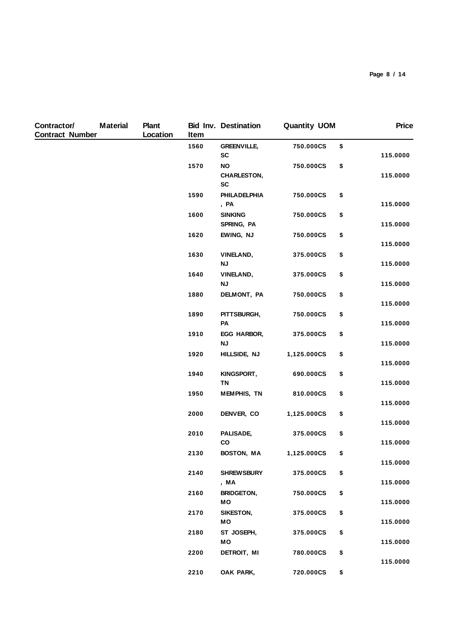| Contractor/<br><b>Contract Number</b> | <b>Material</b> | <b>Plant</b><br>Location | Item | <b>Bid Inv. Destination</b>                  | <b>Quantity UOM</b> | <b>Price</b>   |
|---------------------------------------|-----------------|--------------------------|------|----------------------------------------------|---------------------|----------------|
|                                       |                 |                          | 1560 | <b>GREENVILLE,</b><br><b>SC</b>              | 750.000CS           | \$<br>115.0000 |
|                                       |                 |                          | 1570 | <b>NO</b><br><b>CHARLESTON,</b><br><b>SC</b> | 750.000CS           | \$<br>115.0000 |
|                                       |                 |                          | 1590 | <b>PHILADELPHIA</b><br>, PA                  | 750.000CS           | \$<br>115.0000 |
|                                       |                 |                          | 1600 | <b>SINKING</b><br>SPRING, PA                 | 750.000CS           | \$<br>115.0000 |
|                                       |                 |                          | 1620 | EWING, NJ                                    | 750.000CS           | \$<br>115.0000 |
|                                       |                 |                          | 1630 | <b>VINELAND,</b><br><b>NJ</b>                | 375.000CS           | \$<br>115.0000 |
|                                       |                 |                          | 1640 | <b>VINELAND,</b><br><b>NJ</b>                | 375.000CS           | \$<br>115.0000 |
|                                       |                 |                          | 1880 | DELMONT, PA                                  | 750.000CS           | \$<br>115.0000 |
|                                       |                 |                          | 1890 | PITTSBURGH,<br>PA                            | 750.000CS           | \$<br>115.0000 |
|                                       |                 |                          | 1910 | EGG HARBOR,<br><b>NJ</b>                     | 375.000CS           | \$<br>115.0000 |
|                                       |                 |                          | 1920 | HILLSIDE, NJ                                 | 1,125.000CS         | \$<br>115.0000 |
|                                       |                 |                          | 1940 | KINGSPORT,<br><b>TN</b>                      | 690.000CS           | \$<br>115.0000 |
|                                       |                 |                          | 1950 | <b>MEMPHIS, TN</b>                           | 810.000CS           | \$<br>115.0000 |
|                                       |                 |                          | 2000 | DENVER, CO                                   | 1,125.000CS         | \$<br>115.0000 |
|                                       |                 |                          | 2010 | PALISADE,<br>co                              | 375.000CS           | \$<br>115.0000 |
|                                       |                 |                          | 2130 | BOSTON, MA                                   | 1,125.000CS         | \$<br>115.0000 |
|                                       |                 |                          | 2140 | <b>SHREWSBURY</b><br>, MA                    | 375.000CS           | \$<br>115.0000 |
|                                       |                 |                          | 2160 | <b>BRIDGETON,</b><br>MО                      | 750.000CS           | \$<br>115.0000 |
|                                       |                 |                          | 2170 | SIKESTON,<br>МO                              | 375.000CS           | \$<br>115.0000 |
|                                       |                 |                          | 2180 | ST JOSEPH,<br>МO                             | 375.000CS           | \$<br>115.0000 |
|                                       |                 |                          | 2200 | DETROIT, MI                                  | 780.000CS           | \$<br>115.0000 |
|                                       |                 |                          | 2210 | OAK PARK,                                    | 720.000CS           | \$             |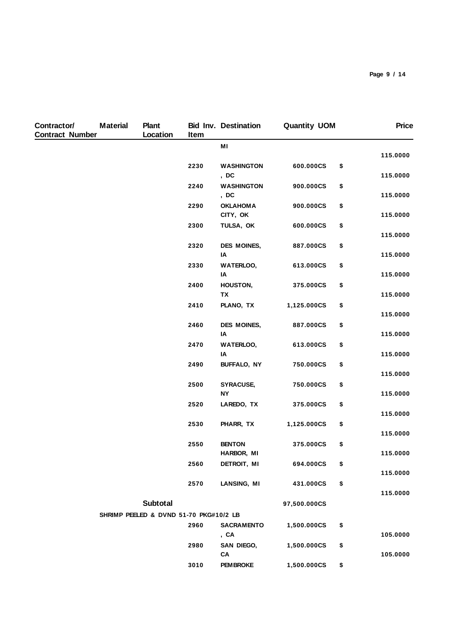| Contractor/<br><b>Contract Number</b> | <b>Material</b> | Plant<br>Location                      | Item | <b>Bid Inv. Destination</b> | <b>Quantity UOM</b> | <b>Price</b>               |
|---------------------------------------|-----------------|----------------------------------------|------|-----------------------------|---------------------|----------------------------|
|                                       |                 |                                        |      | MI                          |                     |                            |
|                                       |                 |                                        | 2230 | <b>WASHINGTON</b><br>, DC   | 600.000CS           | \$<br>115.0000<br>115.0000 |
|                                       |                 |                                        | 2240 | <b>WASHINGTON</b><br>, DC   | 900.000CS           | \$<br>115.0000             |
|                                       |                 |                                        | 2290 | <b>OKLAHOMA</b><br>CITY, OK | 900.000CS           | \$<br>115.0000             |
|                                       |                 |                                        | 2300 | TULSA, OK                   | 600.000CS           | \$<br>115.0000             |
|                                       |                 |                                        | 2320 | DES MOINES,<br>IA           | 887.000CS           | \$<br>115.0000             |
|                                       |                 |                                        | 2330 | <b>WATERLOO,</b><br>IA      | 613.000CS           | \$<br>115.0000             |
|                                       |                 |                                        | 2400 | HOUSTON,<br><b>TX</b>       | 375.000CS           | \$<br>115.0000             |
|                                       |                 |                                        | 2410 | PLANO, TX                   | 1,125.000CS         | \$<br>115.0000             |
|                                       |                 |                                        | 2460 | DES MOINES,<br>IA           | 887.000CS           | \$<br>115.0000             |
|                                       |                 |                                        | 2470 | <b>WATERLOO,</b><br>IA      | 613.000CS           | \$<br>115.0000             |
|                                       |                 |                                        | 2490 | BUFFALO, NY                 | 750.000CS           | \$<br>115.0000             |
|                                       |                 |                                        | 2500 | SYRACUSE,<br><b>NY</b>      | 750.000CS           | \$<br>115.0000             |
|                                       |                 |                                        | 2520 | LAREDO, TX                  | 375.000CS           | \$<br>115.0000             |
|                                       |                 |                                        | 2530 | PHARR, TX                   | 1,125.000CS         | \$<br>115.0000             |
|                                       |                 |                                        | 2550 | <b>BENTON</b><br>HARBOR, MI | 375.000CS           | \$<br>115.0000             |
|                                       |                 |                                        | 2560 | DETROIT, MI                 | 694.000CS           | \$<br>115.0000             |
|                                       |                 |                                        | 2570 | LANSING, MI                 | 431.000CS           | \$<br>115.0000             |
|                                       |                 | Subtotal                               |      |                             | 97,500.000CS        |                            |
|                                       |                 | SHRIMP PEELED & DVND 51-70 PKG#10/2 LB |      |                             |                     |                            |
|                                       |                 |                                        | 2960 | <b>SACRAMENTO</b><br>, CA   | 1,500.000CS         | \$<br>105.0000             |
|                                       |                 |                                        | 2980 | SAN DIEGO,<br>CA            | 1,500.000CS         | \$<br>105.0000             |
|                                       |                 |                                        | 3010 | <b>PEM BROKE</b>            | 1,500.000CS         | \$                         |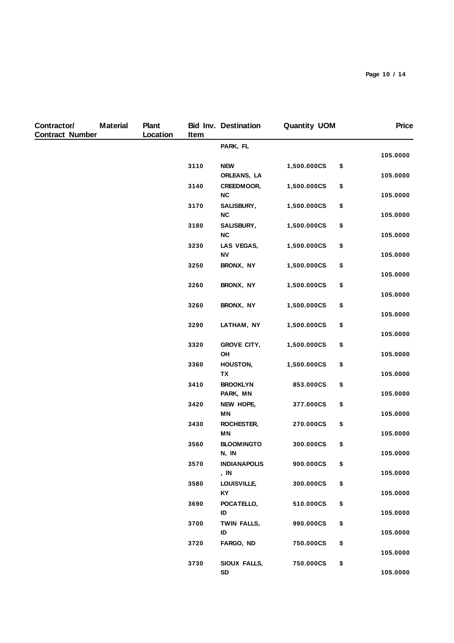| Contractor/<br><b>Contract Number</b> | <b>Material</b> | <b>Plant</b><br>Location | Item | <b>Bid Inv. Destination</b> | <b>Quantity UOM</b> | <b>Price</b>               |
|---------------------------------------|-----------------|--------------------------|------|-----------------------------|---------------------|----------------------------|
|                                       |                 |                          |      | PARK, FL                    |                     |                            |
|                                       |                 |                          | 3110 | <b>NEW</b><br>ORLEANS, LA   | 1,500.000CS         | \$<br>105.0000<br>105.0000 |
|                                       |                 |                          | 3140 | CREEDMOOR,<br>NC            | 1,500.000CS         | \$<br>105.0000             |
|                                       |                 |                          | 3170 | SALISBURY,<br>NC            | 1,500.000CS         | \$<br>105.0000             |
|                                       |                 |                          | 3180 | SALISBURY,<br>NC            | 1,500.000CS         | \$<br>105.0000             |
|                                       |                 |                          | 3230 | LAS VEGAS,<br><b>NV</b>     | 1,500.000CS         | \$<br>105.0000             |
|                                       |                 |                          | 3250 | BRONX, NY                   | 1,500.000CS         | \$<br>105.0000             |
|                                       |                 |                          | 3260 | BRONX, NY                   | 1,500.000CS         | \$<br>105.0000             |
|                                       |                 |                          | 3260 | BRONX, NY                   | 1,500.000CS         | \$<br>105.0000             |
|                                       |                 |                          | 3290 | LATHAM, NY                  | 1,500.000CS         | \$<br>105.0000             |
|                                       |                 |                          | 3320 | <b>GROVE CITY,</b><br>OH    | 1,500.000CS         | \$<br>105.0000             |
|                                       |                 |                          | 3360 | HOUSTON,<br><b>TX</b>       | 1,500.000CS         | \$<br>105.0000             |
|                                       |                 |                          | 3410 | <b>BROOKLYN</b><br>PARK, MN | 853.000CS           | \$<br>105.0000             |
|                                       |                 |                          | 3420 | NEW HOPE,<br>ΜN             | 377.000CS           | \$<br>105.0000             |
|                                       |                 |                          | 3430 | ROCHESTER,<br><b>MN</b>     | 270.000CS           | \$<br>105.0000             |
|                                       |                 |                          | 3560 | <b>BLOOMINGTO</b><br>N, IN  | 300.000CS           | \$<br>105.0000             |
|                                       |                 |                          | 3570 | <b>INDIANAPOLIS</b><br>, IN | 900.000CS           | \$<br>105.0000             |
|                                       |                 |                          | 3580 | LOUISVILLE,<br>KY           | 300.000CS           | \$<br>105.0000             |
|                                       |                 |                          | 3690 | POCATELLO,<br>ID            | 510.000CS           | \$<br>105.0000             |
|                                       |                 |                          | 3700 | TWIN FALLS,<br>ID           | 990.000CS           | \$<br>105.0000             |
|                                       |                 |                          | 3720 | FARGO, ND                   | 750.000CS           | \$<br>105.0000             |
|                                       |                 |                          | 3730 | SIOUX FALLS,<br>SD          | 750.000CS           | \$<br>105.0000             |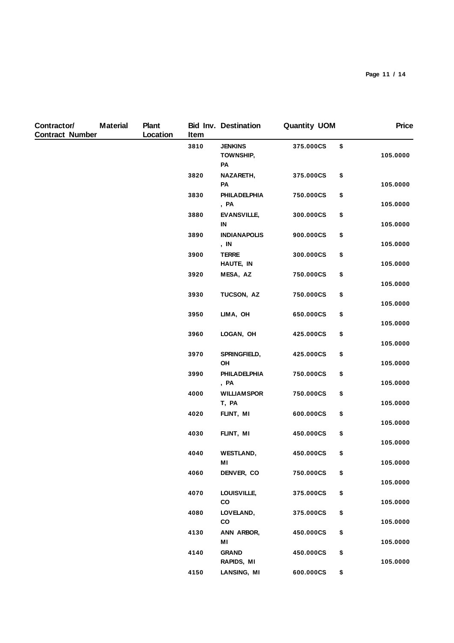| Contractor/<br><b>Contract Number</b> | <b>Material</b> | <b>Plant</b><br>Location | Item | <b>Bid Inv. Destination</b>       | <b>Quantity UOM</b> | <b>Price</b>   |
|---------------------------------------|-----------------|--------------------------|------|-----------------------------------|---------------------|----------------|
|                                       |                 |                          | 3810 | <b>JENKINS</b><br>TOWNSHIP,<br>PA | 375.000CS           | \$<br>105.0000 |
|                                       |                 |                          | 3820 | NAZARETH,<br>PA                   | 375.000CS           | \$<br>105.0000 |
|                                       |                 |                          | 3830 | <b>PHILADELPHIA</b><br>, PA       | 750.000CS           | \$<br>105.0000 |
|                                       |                 |                          | 3880 | <b>EVANSVILLE,</b><br>IN          | 300.000CS           | \$<br>105.0000 |
|                                       |                 |                          | 3890 | <b>INDIANAPOLIS</b><br>, IN       | 900.000CS           | \$<br>105.0000 |
|                                       |                 |                          | 3900 | <b>TERRE</b><br>HAUTE, IN         | 300.000CS           | \$<br>105.0000 |
|                                       |                 |                          | 3920 | MESA, AZ                          | 750.000CS           | \$<br>105.0000 |
|                                       |                 |                          | 3930 | TUCSON, AZ                        | 750.000CS           | \$<br>105.0000 |
|                                       |                 |                          | 3950 | LIMA, OH                          | 650.000CS           | \$<br>105.0000 |
|                                       |                 |                          | 3960 | LOGAN, OH                         | 425.000CS           | \$<br>105.0000 |
|                                       |                 |                          | 3970 | SPRINGFIELD,<br>OH                | 425.000CS           | \$<br>105.0000 |
|                                       |                 |                          | 3990 | PHILADELPHIA<br>, PA              | 750.000CS           | \$<br>105.0000 |
|                                       |                 |                          | 4000 | <b>WILLIAMSPOR</b><br>T, PA       | 750.000CS           | \$<br>105.0000 |
|                                       |                 |                          | 4020 | FLINT, MI                         | 600.000CS           | \$<br>105.0000 |
|                                       |                 |                          | 4030 | FLINT, MI                         | 450.000CS           | \$<br>105.0000 |
|                                       |                 |                          | 4040 | <b>WESTLAND,</b><br>МI            | 450.000CS           | \$<br>105.0000 |
|                                       |                 |                          | 4060 | DENVER, CO                        | 750.000CS           | \$<br>105.0000 |
|                                       |                 |                          | 4070 | LOUISVILLE,<br>CO                 | 375.000CS           | \$<br>105.0000 |
|                                       |                 |                          | 4080 | LOVELAND,<br>CO                   | 375.000CS           | \$<br>105.0000 |
|                                       |                 |                          | 4130 | ANN ARBOR,<br>ΜI                  | 450.000CS           | \$<br>105.0000 |
|                                       |                 |                          | 4140 | <b>GRAND</b><br>RAPIDS, MI        | 450.000CS           | \$<br>105.0000 |
|                                       |                 |                          | 4150 | LANSING, MI                       | 600.000CS           | \$             |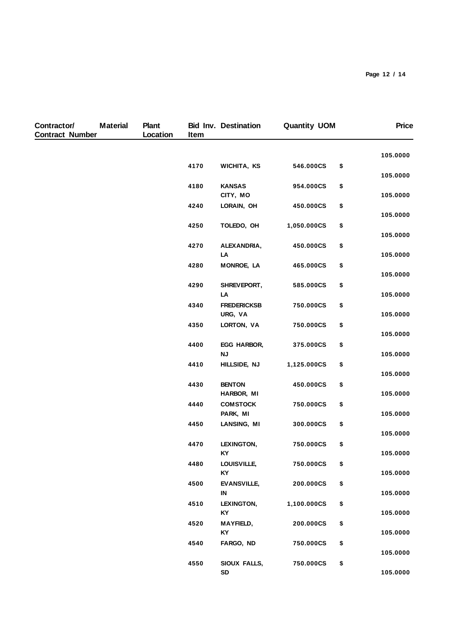| Contractor/<br><b>Contract Number</b> | <b>Material</b> | <b>Plant</b><br>Location | Item | <b>Bid Inv. Destination</b>   | <b>Quantity UOM</b> | <b>Price</b>               |
|---------------------------------------|-----------------|--------------------------|------|-------------------------------|---------------------|----------------------------|
|                                       |                 |                          |      |                               |                     | 105.0000                   |
|                                       |                 |                          | 4170 | WICHITA, KS                   | 546.000CS           | \$<br>105.0000             |
|                                       |                 |                          | 4180 | <b>KANSAS</b><br>CITY, MO     | 954.000CS           | \$<br>105.0000             |
|                                       |                 |                          | 4240 | LORAIN, OH                    | 450.000CS           | \$<br>105.0000             |
|                                       |                 |                          | 4250 | TOLEDO, OH                    | 1,050.000CS         | \$                         |
|                                       |                 |                          | 4270 | ALEXANDRIA,<br>LA             | 450.000CS           | \$<br>105.0000<br>105.0000 |
|                                       |                 |                          | 4280 | <b>MONROE, LA</b>             | 465.000CS           | \$<br>105.0000             |
|                                       |                 |                          | 4290 | SHREVEPORT,<br>LA             | 585.000CS           | \$<br>105.0000             |
|                                       |                 |                          | 4340 | <b>FREDERICKSB</b><br>URG, VA | 750.000CS           | \$<br>105.0000             |
|                                       |                 |                          | 4350 | LORTON, VA                    | 750.000CS           | \$<br>105.0000             |
|                                       |                 |                          | 4400 | EGG HARBOR,<br><b>NJ</b>      | 375.000CS           | \$<br>105.0000             |
|                                       |                 |                          | 4410 | HILLSIDE, NJ                  | 1,125.000CS         | \$<br>105.0000             |
|                                       |                 |                          | 4430 | <b>BENTON</b><br>HARBOR, MI   | 450.000CS           | \$<br>105.0000             |
|                                       |                 |                          | 4440 | <b>COMSTOCK</b><br>PARK, MI   | 750.000CS           | \$<br>105.0000             |
|                                       |                 |                          | 4450 | LANSING, MI                   | 300.000CS           | \$<br>105.0000             |
|                                       |                 |                          | 4470 | LEXINGTON,<br>KY              | 750.000CS           | \$<br>105.0000             |
|                                       |                 |                          | 4480 | LOUISVILLE,<br><b>KY</b>      | 750.000CS           | \$<br>105.0000             |
|                                       |                 |                          | 4500 | <b>EVANSVILLE,</b><br>IN      | 200.000CS           | \$<br>105.0000             |
|                                       |                 |                          | 4510 | LEXINGTON,<br>KY              | 1,100.000CS         | \$<br>105.0000             |
|                                       |                 |                          | 4520 | <b>MAYFIELD,</b><br>KY        | 200.000CS           | \$<br>105.0000             |
|                                       |                 |                          | 4540 | FARGO, ND                     | 750.000CS           | \$<br>105.0000             |
|                                       |                 |                          | 4550 | SIOUX FALLS,<br>SD            | 750.000CS           | \$<br>105.0000             |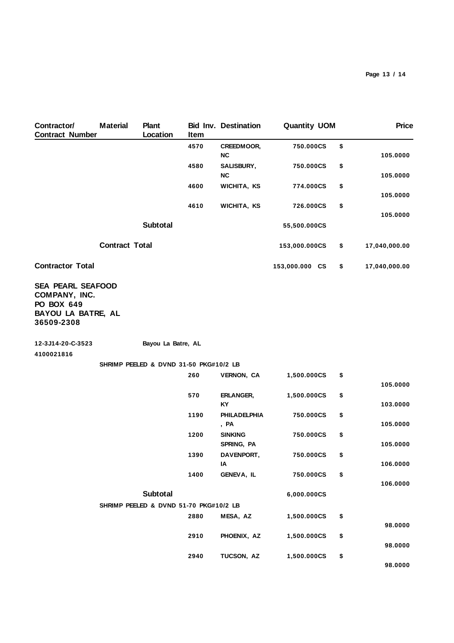| Contractor/<br><b>Contract Number</b>                                                       | <b>Material</b>                        | <b>Plant</b><br>Location               | Item | <b>Bid Inv. Destination</b>  | <b>Quantity UOM</b> | <b>Price</b>        |
|---------------------------------------------------------------------------------------------|----------------------------------------|----------------------------------------|------|------------------------------|---------------------|---------------------|
|                                                                                             |                                        |                                        | 4570 | CREEDMOOR,<br>NC             | 750.000CS           | \$<br>105.0000      |
|                                                                                             |                                        |                                        | 4580 | SALISBURY,<br><b>NC</b>      | 750.000CS           | \$<br>105.0000      |
|                                                                                             |                                        |                                        | 4600 | WICHITA, KS                  | 774.000CS           | \$<br>105.0000      |
|                                                                                             |                                        |                                        | 4610 | WICHITA, KS                  | 726.000CS           | \$<br>105.0000      |
|                                                                                             |                                        | <b>Subtotal</b>                        |      |                              | 55,500.000CS        |                     |
|                                                                                             | <b>Contract Total</b>                  |                                        |      |                              | 153,000.000CS       | \$<br>17,040,000.00 |
| <b>Contractor Total</b>                                                                     |                                        |                                        |      |                              | 153,000.000 CS      | \$<br>17,040,000.00 |
| <b>SEA PEARL SEAFOOD</b><br>COMPANY, INC.<br>PO BOX 649<br>BAYOU LA BATRE, AL<br>36509-2308 |                                        |                                        |      |                              |                     |                     |
| 12-3J14-20-C-3523<br>4100021816                                                             |                                        | Bayou La Batre, AL                     |      |                              |                     |                     |
|                                                                                             | SHRIMP PEELED & DVND 31-50 PKG#10/2 LB |                                        |      |                              |                     |                     |
|                                                                                             |                                        |                                        | 260  | <b>VERNON, CA</b>            | 1,500.000CS         | \$<br>105.0000      |
|                                                                                             |                                        |                                        | 570  | ERLANGER,<br><b>KY</b>       | 1,500.000CS         | \$<br>103.0000      |
|                                                                                             |                                        |                                        | 1190 | <b>PHILADELPHIA</b><br>, PA  | 750.000CS           | \$<br>105.0000      |
|                                                                                             |                                        |                                        | 1200 | <b>SINKING</b><br>SPRING, PA | 750.000CS           | \$<br>105.0000      |
|                                                                                             |                                        |                                        | 1390 | DAVENPORT,<br>ΙA             | 750.000CS           | \$<br>106.0000      |
|                                                                                             |                                        |                                        | 1400 | GENEVA, IL                   | 750.000CS           | \$<br>106.0000      |
|                                                                                             |                                        | Subtotal                               |      |                              | 6,000.000CS         |                     |
|                                                                                             |                                        | SHRIMP PEELED & DVND 51-70 PKG#10/2 LB |      |                              |                     |                     |
|                                                                                             |                                        |                                        | 2880 | MESA, AZ                     | 1,500.000CS         | \$<br>98.0000       |
|                                                                                             |                                        |                                        | 2910 | PHOENIX, AZ                  | 1,500.000CS         | \$<br>98.0000       |
|                                                                                             |                                        |                                        | 2940 | TUCSON, AZ                   | 1,500.000CS         | \$<br>98.0000       |